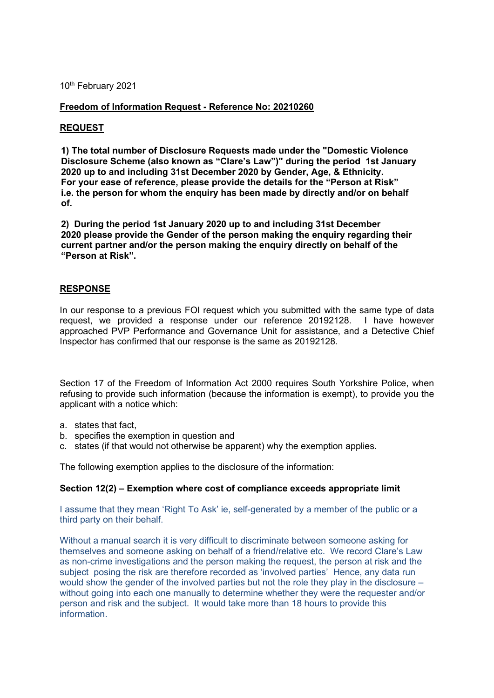10th February 2021

## **Freedom of Information Request - Reference No: 20210260**

## **REQUEST**

**1) The total number of Disclosure Requests made under the "Domestic Violence Disclosure Scheme (also known as "Clare's Law")" during the period 1st January 2020 up to and including 31st December 2020 by Gender, Age, & Ethnicity. For your ease of reference, please provide the details for the "Person at Risk" i.e. the person for whom the enquiry has been made by directly and/or on behalf of.**

**2) During the period 1st January 2020 up to and including 31st December 2020 please provide the Gender of the person making the enquiry regarding their current partner and/or the person making the enquiry directly on behalf of the "Person at Risk".** 

## **RESPONSE**

In our response to a previous FOI request which you submitted with the same type of data request, we provided a response under our reference 20192128. I have however approached PVP Performance and Governance Unit for assistance, and a Detective Chief Inspector has confirmed that our response is the same as 20192128.

Section 17 of the Freedom of Information Act 2000 requires South Yorkshire Police, when refusing to provide such information (because the information is exempt), to provide you the applicant with a notice which:

- a. states that fact,
- b. specifies the exemption in question and
- c. states (if that would not otherwise be apparent) why the exemption applies.

The following exemption applies to the disclosure of the information:

## **Section 12(2) – Exemption where cost of compliance exceeds appropriate limit**

I assume that they mean 'Right To Ask' ie, self-generated by a member of the public or a third party on their behalf.

Without a manual search it is very difficult to discriminate between someone asking for themselves and someone asking on behalf of a friend/relative etc. We record Clare's Law as non-crime investigations and the person making the request, the person at risk and the subject posing the risk are therefore recorded as 'involved parties' Hence, any data run would show the gender of the involved parties but not the role they play in the disclosure – without going into each one manually to determine whether they were the requester and/or person and risk and the subject. It would take more than 18 hours to provide this **information**